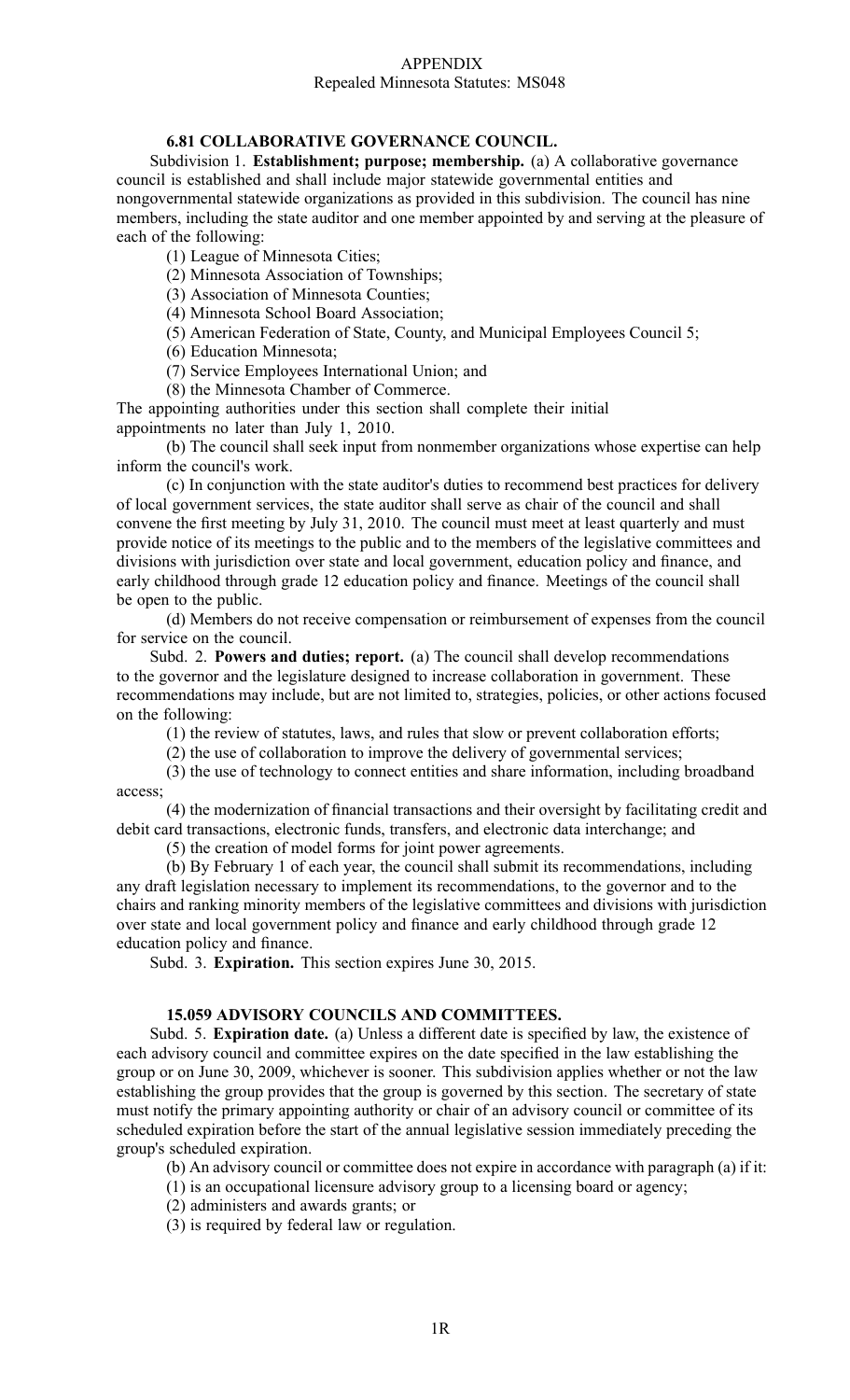#### APPENDIX Repealed Minnesota Statutes: MS048

## **6.81 COLLABORATIVE GOVERNANCE COUNCIL.**

Subdivision 1. **Establishment; purpose; membership.** (a) A collaborative governance council is established and shall include major statewide governmental entities and nongovernmental statewide organizations as provided in this subdivision. The council has nine members, including the state auditor and one member appointed by and serving at the pleasure of each of the following:

(1) League of Minnesota Cities;

(2) Minnesota Association of Townships;

(3) Association of Minnesota Counties;

(4) Minnesota School Board Association;

(5) American Federation of State, County, and Municipal Employees Council 5;

(6) Education Minnesota;

(7) Service Employees International Union; and

(8) the Minnesota Chamber of Commerce.

The appointing authorities under this section shall complete their initial appointments no later than July 1, 2010.

(b) The council shall seek input from nonmember organizations whose expertise can help inform the council's work.

(c) In conjunction with the state auditor's duties to recommend best practices for delivery of local governmen<sup>t</sup> services, the state auditor shall serve as chair of the council and shall convene the first meeting by July 31, 2010. The council must meet at least quarterly and must provide notice of its meetings to the public and to the members of the legislative committees and divisions with jurisdiction over state and local government, education policy and finance, and early childhood through grade 12 education policy and finance. Meetings of the council shall be open to the public.

(d) Members do not receive compensation or reimbursement of expenses from the council for service on the council.

Subd. 2. **Powers and duties; report.** (a) The council shall develop recommendations to the governor and the legislature designed to increase collaboration in government. These recommendations may include, but are not limited to, strategies, policies, or other actions focused on the following:

(1) the review of statutes, laws, and rules that slow or preven<sup>t</sup> collaboration efforts;

(2) the use of collaboration to improve the delivery of governmental services;

(3) the use of technology to connect entities and share information, including broadband access;

(4) the modernization of financial transactions and their oversight by facilitating credit and debit card transactions, electronic funds, transfers, and electronic data interchange; and

(5) the creation of model forms for joint power agreements.

(b) By February 1 of each year, the council shall submit its recommendations, including any draft legislation necessary to implement its recommendations, to the governor and to the chairs and ranking minority members of the legislative committees and divisions with jurisdiction over state and local governmen<sup>t</sup> policy and finance and early childhood through grade 12 education policy and finance.

Subd. 3. **Expiration.** This section expires June 30, 2015.

## **15.059 ADVISORY COUNCILS AND COMMITTEES.**

Subd. 5. **Expiration date.** (a) Unless <sup>a</sup> different date is specified by law, the existence of each advisory council and committee expires on the date specified in the law establishing the group or on June 30, 2009, whichever is sooner. This subdivision applies whether or not the law establishing the group provides that the group is governed by this section. The secretary of state must notify the primary appointing authority or chair of an advisory council or committee of its scheduled expiration before the start of the annual legislative session immediately preceding the group's scheduled expiration.

(b) An advisory council or committee does not expire in accordance with paragraph (a) if it:

(1) is an occupational licensure advisory group to <sup>a</sup> licensing board or agency;

(2) administers and awards grants; or

(3) is required by federal law or regulation.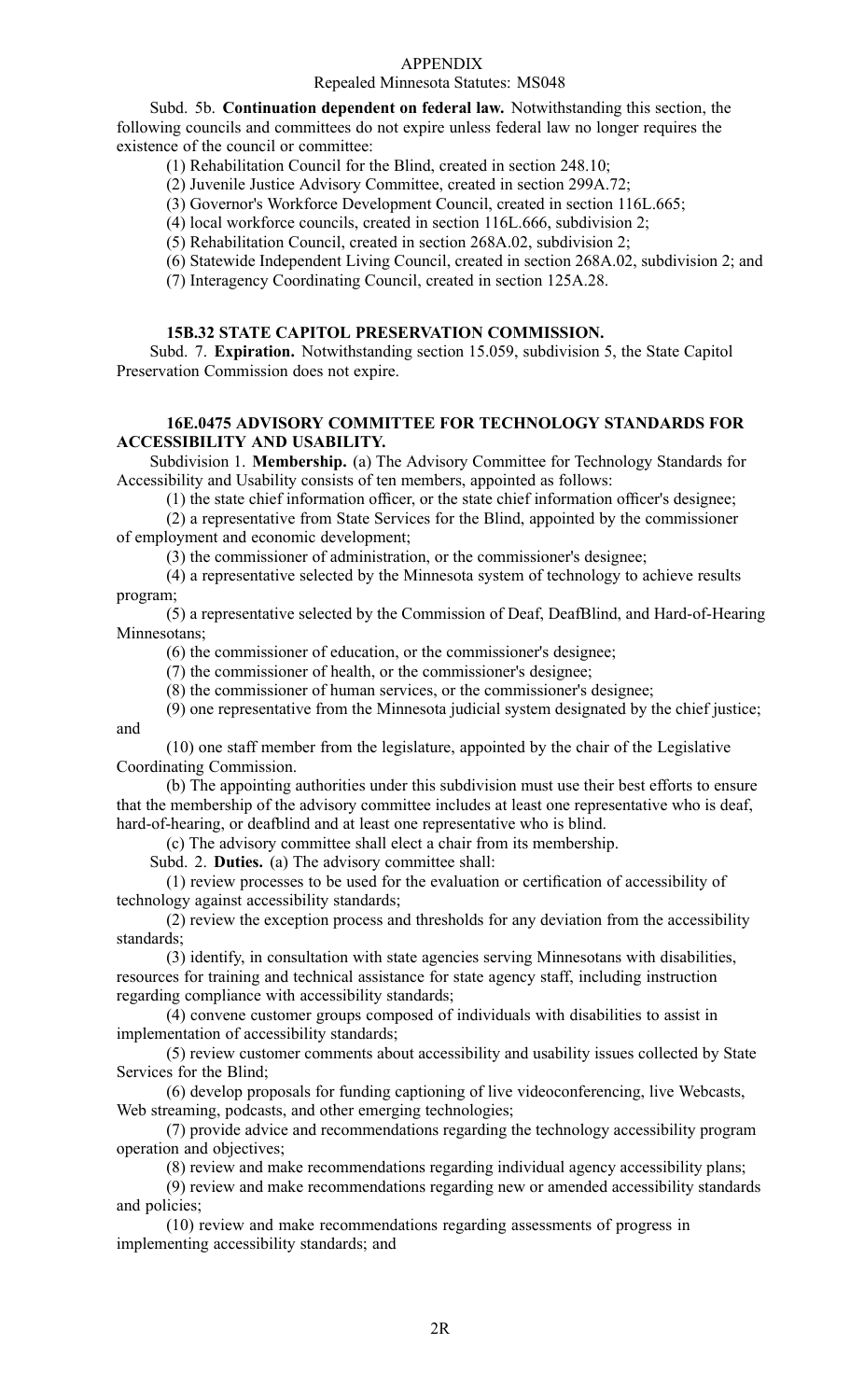#### Repealed Minnesota Statutes: MS048

Subd. 5b. **Continuation dependent on federal law.** Notwithstanding this section, the following councils and committees do not expire unless federal law no longer requires the existence of the council or committee:

(1) Rehabilitation Council for the Blind, created in section 248.10;

(2) Juvenile Justice Advisory Committee, created in section 299A.72;

(3) Governor's Workforce Development Council, created in section 116L.665;

(4) local workforce councils, created in section 116L.666, subdivision 2;

(5) Rehabilitation Council, created in section 268A.02, subdivision 2;

(6) Statewide Independent Living Council, created in section 268A.02, subdivision 2; and

(7) Interagency Coordinating Council, created in section 125A.28.

#### **15B.32 STATE CAPITOL PRESERVATION COMMISSION.**

Subd. 7. **Expiration.** Notwithstanding section 15.059, subdivision 5, the State Capitol Preservation Commission does not expire.

## **16E.0475 ADVISORY COMMITTEE FOR TECHNOLOGY STANDARDS FOR ACCESSIBILITY AND USABILITY.**

Subdivision 1. **Membership.** (a) The Advisory Committee for Technology Standards for Accessibility and Usability consists of ten members, appointed as follows:

(1) the state chief information officer, or the state chief information officer's designee;

(2) <sup>a</sup> representative from State Services for the Blind, appointed by the commissioner of employment and economic development;

(3) the commissioner of administration, or the commissioner's designee;

(4) <sup>a</sup> representative selected by the Minnesota system of technology to achieve results program;

(5) <sup>a</sup> representative selected by the Commission of Deaf, DeafBlind, and Hard-of-Hearing Minnesotans;

(6) the commissioner of education, or the commissioner's designee;

(7) the commissioner of health, or the commissioner's designee;

(8) the commissioner of human services, or the commissioner's designee;

(9) one representative from the Minnesota judicial system designated by the chief justice; and

(10) one staff member from the legislature, appointed by the chair of the Legislative Coordinating Commission.

(b) The appointing authorities under this subdivision must use their best efforts to ensure that the membership of the advisory committee includes at least one representative who is deaf, hard-of-hearing, or deafblind and at least one representative who is blind.

(c) The advisory committee shall elect <sup>a</sup> chair from its membership.

Subd. 2. **Duties.** (a) The advisory committee shall:

(1) review processes to be used for the evaluation or certification of accessibility of technology against accessibility standards;

(2) review the exception process and thresholds for any deviation from the accessibility standards;

(3) identify, in consultation with state agencies serving Minnesotans with disabilities, resources for training and technical assistance for state agency staff, including instruction regarding compliance with accessibility standards;

(4) convene customer groups composed of individuals with disabilities to assist in implementation of accessibility standards;

(5) review customer comments about accessibility and usability issues collected by State Services for the Blind;

(6) develop proposals for funding captioning of live videoconferencing, live Webcasts, Web streaming, podcasts, and other emerging technologies;

(7) provide advice and recommendations regarding the technology accessibility program operation and objectives;

(8) review and make recommendations regarding individual agency accessibility plans;

(9) review and make recommendations regarding new or amended accessibility standards and policies;

(10) review and make recommendations regarding assessments of progress in implementing accessibility standards; and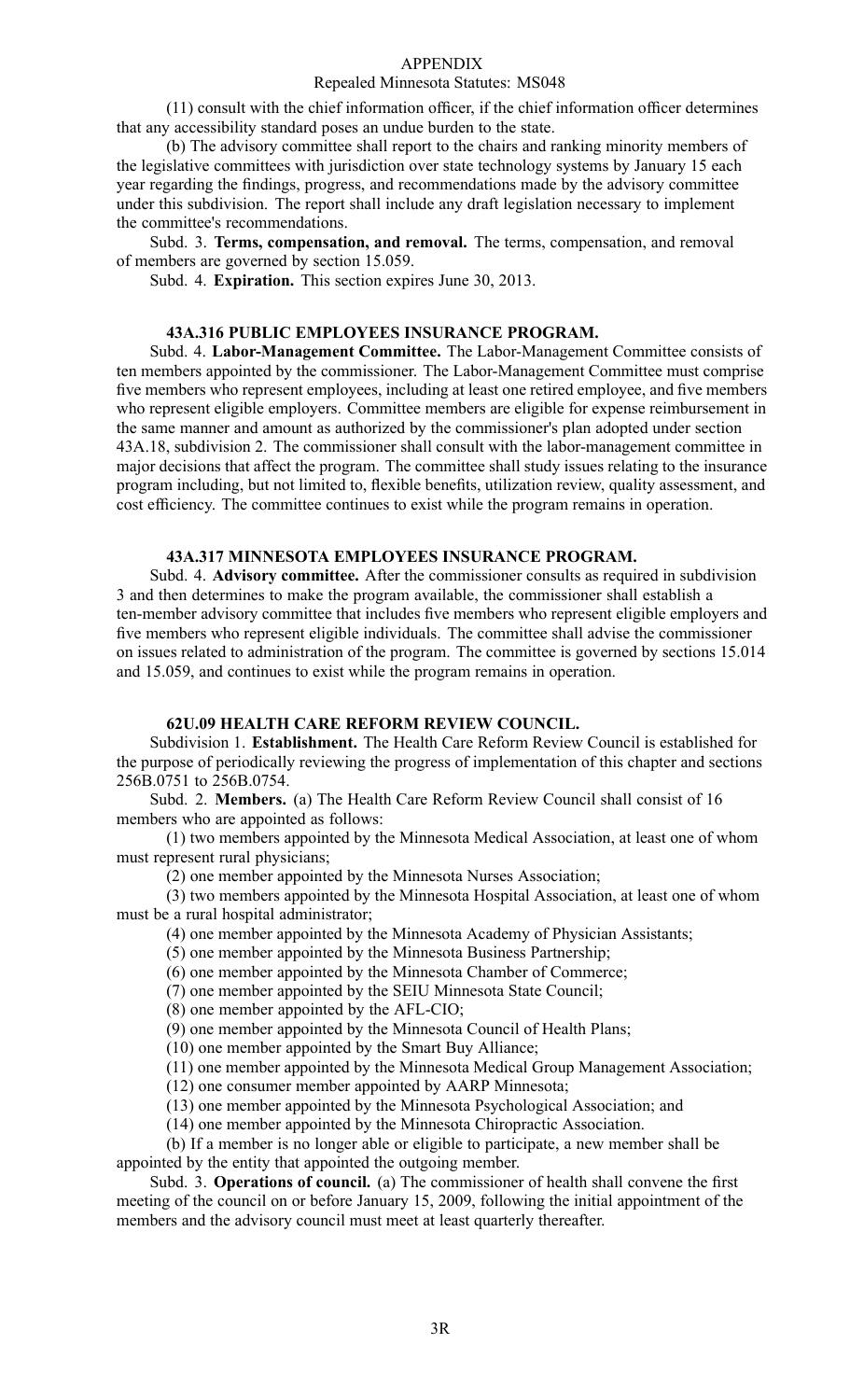#### Repealed Minnesota Statutes: MS048

(11) consult with the chief information officer, if the chief information officer determines that any accessibility standard poses an undue burden to the state.

(b) The advisory committee shall repor<sup>t</sup> to the chairs and ranking minority members of the legislative committees with jurisdiction over state technology systems by January 15 each year regarding the findings, progress, and recommendations made by the advisory committee under this subdivision. The repor<sup>t</sup> shall include any draft legislation necessary to implement the committee's recommendations.

Subd. 3. **Terms, compensation, and removal.** The terms, compensation, and removal of members are governed by section 15.059.

Subd. 4. **Expiration.** This section expires June 30, 2013.

#### **43A.316 PUBLIC EMPLOYEES INSURANCE PROGRAM.**

Subd. 4. **Labor-Management Committee.** The Labor-Management Committee consists of ten members appointed by the commissioner. The Labor-Management Committee must comprise five members who represen<sup>t</sup> employees, including at least one retired employee, and five members who represen<sup>t</sup> eligible employers. Committee members are eligible for expense reimbursement in the same manner and amount as authorized by the commissioner's plan adopted under section 43A.18, subdivision 2. The commissioner shall consult with the labor-management committee in major decisions that affect the program. The committee shall study issues relating to the insurance program including, but not limited to, flexible benefits, utilization review, quality assessment, and cost efficiency. The committee continues to exist while the program remains in operation.

#### **43A.317 MINNESOTA EMPLOYEES INSURANCE PROGRAM.**

Subd. 4. **Advisory committee.** After the commissioner consults as required in subdivision 3 and then determines to make the program available, the commissioner shall establish <sup>a</sup> ten-member advisory committee that includes five members who represen<sup>t</sup> eligible employers and five members who represen<sup>t</sup> eligible individuals. The committee shall advise the commissioner on issues related to administration of the program. The committee is governed by sections 15.014 and 15.059, and continues to exist while the program remains in operation.

### **62U.09 HEALTH CARE REFORM REVIEW COUNCIL.**

Subdivision 1. **Establishment.** The Health Care Reform Review Council is established for the purpose of periodically reviewing the progress of implementation of this chapter and sections 256B.0751 to 256B.0754.

Subd. 2. **Members.** (a) The Health Care Reform Review Council shall consist of 16 members who are appointed as follows:

(1) two members appointed by the Minnesota Medical Association, at least one of whom must represen<sup>t</sup> rural physicians;

(2) one member appointed by the Minnesota Nurses Association;

(3) two members appointed by the Minnesota Hospital Association, at least one of whom must be <sup>a</sup> rural hospital administrator;

- (4) one member appointed by the Minnesota Academy of Physician Assistants;
- (5) one member appointed by the Minnesota Business Partnership;
- (6) one member appointed by the Minnesota Chamber of Commerce;

(7) one member appointed by the SEIU Minnesota State Council;

(8) one member appointed by the AFL-CIO;

(9) one member appointed by the Minnesota Council of Health Plans;

(10) one member appointed by the Smart Buy Alliance;

(11) one member appointed by the Minnesota Medical Group Management Association;

(12) one consumer member appointed by AARP Minnesota;

(13) one member appointed by the Minnesota Psychological Association; and

(14) one member appointed by the Minnesota Chiropractic Association.

(b) If <sup>a</sup> member is no longer able or eligible to participate, <sup>a</sup> new member shall be appointed by the entity that appointed the outgoing member.

Subd. 3. **Operations of council.** (a) The commissioner of health shall convene the first meeting of the council on or before January 15, 2009, following the initial appointment of the members and the advisory council must meet at least quarterly thereafter.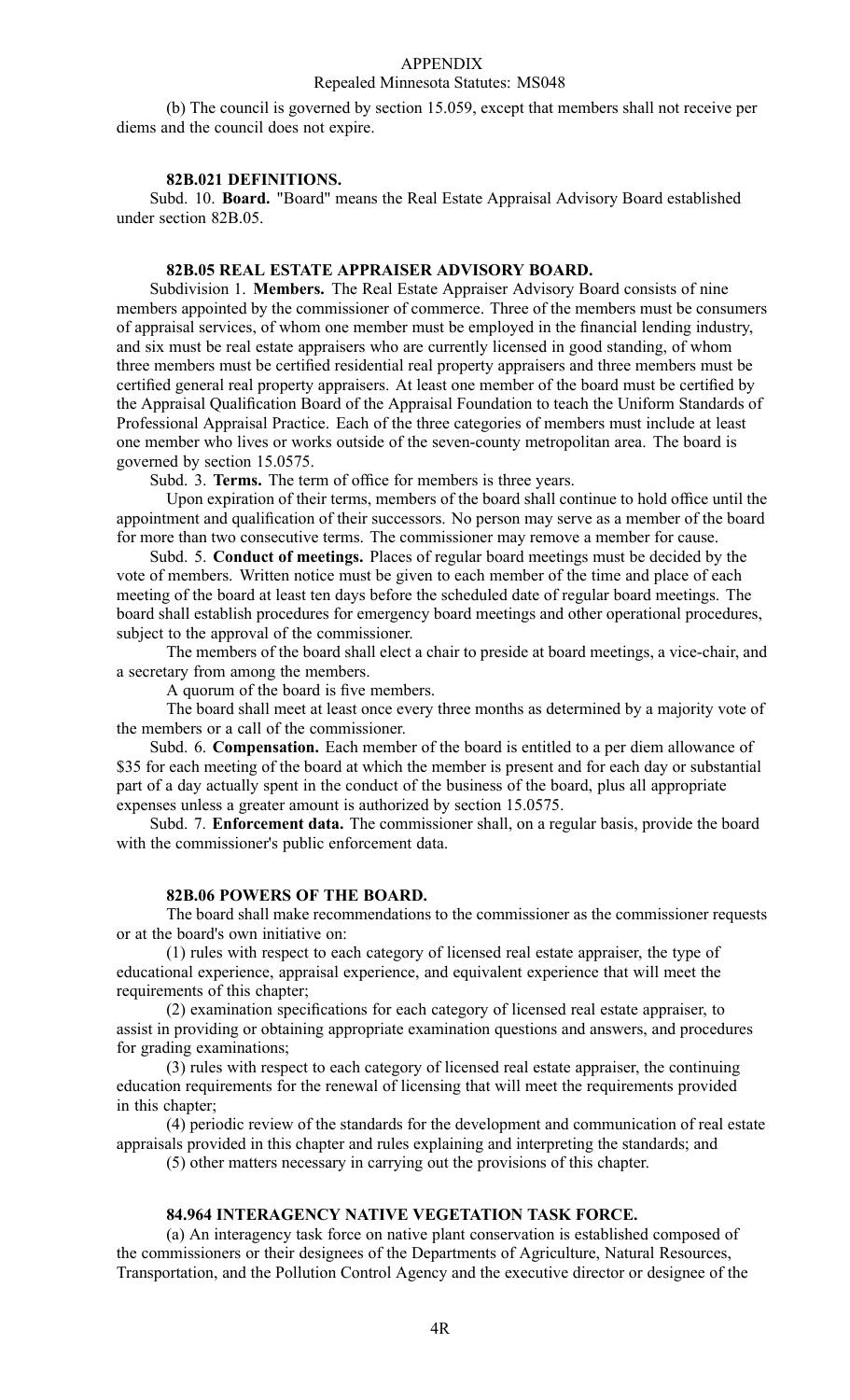## Repealed Minnesota Statutes: MS048

(b) The council is governed by section 15.059, excep<sup>t</sup> that members shall not receive per diems and the council does not expire.

## **82B.021 DEFINITIONS.**

Subd. 10. **Board.** "Board" means the Real Estate Appraisal Advisory Board established under section 82B.05.

#### **82B.05 REAL ESTATE APPRAISER ADVISORY BOARD.**

Subdivision 1. **Members.** The Real Estate Appraiser Advisory Board consists of nine members appointed by the commissioner of commerce. Three of the members must be consumers of appraisal services, of whom one member must be employed in the financial lending industry, and six must be real estate appraisers who are currently licensed in good standing, of whom three members must be certified residential real property appraisers and three members must be certified general real property appraisers. At least one member of the board must be certified by the Appraisal Qualification Board of the Appraisal Foundation to teach the Uniform Standards of Professional Appraisal Practice. Each of the three categories of members must include at least one member who lives or works outside of the seven-county metropolitan area. The board is governed by section 15.0575.

Subd. 3. **Terms.** The term of office for members is three years.

Upon expiration of their terms, members of the board shall continue to hold office until the appointment and qualification of their successors. No person may serve as <sup>a</sup> member of the board for more than two consecutive terms. The commissioner may remove <sup>a</sup> member for cause.

Subd. 5. **Conduct of meetings.** Places of regular board meetings must be decided by the vote of members. Written notice must be given to each member of the time and place of each meeting of the board at least ten days before the scheduled date of regular board meetings. The board shall establish procedures for emergency board meetings and other operational procedures, subject to the approval of the commissioner.

The members of the board shall elect <sup>a</sup> chair to preside at board meetings, <sup>a</sup> vice-chair, and <sup>a</sup> secretary from among the members.

A quorum of the board is five members.

The board shall meet at least once every three months as determined by <sup>a</sup> majority vote of the members or <sup>a</sup> call of the commissioner.

Subd. 6. **Compensation.** Each member of the board is entitled to <sup>a</sup> per diem allowance of \$35 for each meeting of the board at which the member is present and for each day or substantial par<sup>t</sup> of <sup>a</sup> day actually spen<sup>t</sup> in the conduct of the business of the board, plus all appropriate expenses unless <sup>a</sup> greater amount is authorized by section 15.0575.

Subd. 7. **Enforcement data.** The commissioner shall, on <sup>a</sup> regular basis, provide the board with the commissioner's public enforcement data.

#### **82B.06 POWERS OF THE BOARD.**

The board shall make recommendations to the commissioner as the commissioner requests or at the board's own initiative on:

(1) rules with respec<sup>t</sup> to each category of licensed real estate appraiser, the type of educational experience, appraisal experience, and equivalent experience that will meet the requirements of this chapter;

(2) examination specifications for each category of licensed real estate appraiser, to assist in providing or obtaining appropriate examination questions and answers, and procedures for grading examinations;

(3) rules with respec<sup>t</sup> to each category of licensed real estate appraiser, the continuing education requirements for the renewal of licensing that will meet the requirements provided in this chapter;

(4) periodic review of the standards for the development and communication of real estate appraisals provided in this chapter and rules explaining and interpreting the standards; and

(5) other matters necessary in carrying out the provisions of this chapter.

## **84.964 INTERAGENCY NATIVE VEGETATION TASK FORCE.**

(a) An interagency task force on native plant conservation is established composed of the commissioners or their designees of the Departments of Agriculture, Natural Resources, Transportation, and the Pollution Control Agency and the executive director or designee of the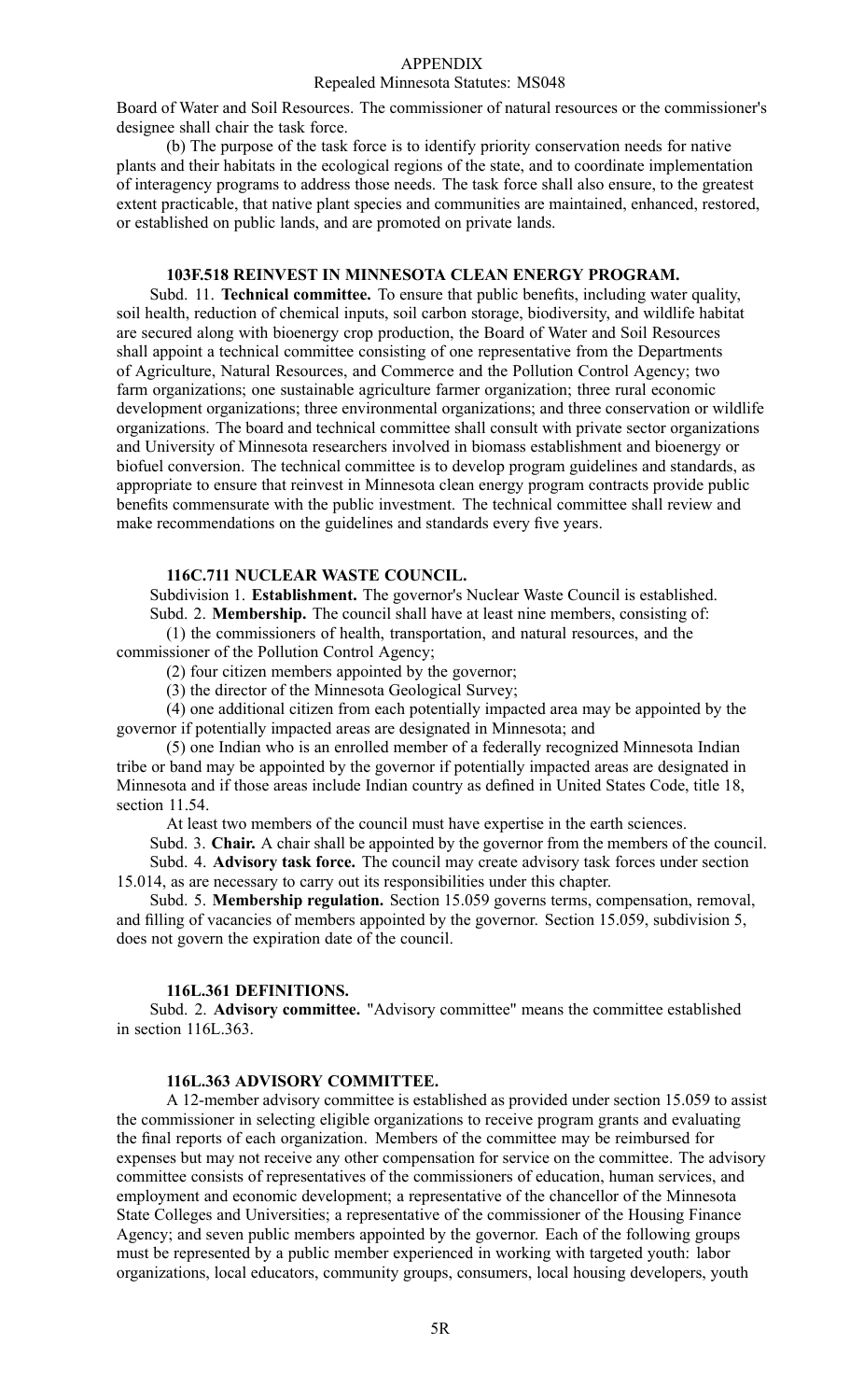#### Repealed Minnesota Statutes: MS048

Board of Water and Soil Resources. The commissioner of natural resources or the commissioner's designee shall chair the task force.

(b) The purpose of the task force is to identify priority conservation needs for native plants and their habitats in the ecological regions of the state, and to coordinate implementation of interagency programs to address those needs. The task force shall also ensure, to the greatest extent practicable, that native plant species and communities are maintained, enhanced, restored, or established on public lands, and are promoted on private lands.

#### **103F.518 REINVEST IN MINNESOTA CLEAN ENERGY PROGRAM.**

Subd. 11. **Technical committee.** To ensure that public benefits, including water quality, soil health, reduction of chemical inputs, soil carbon storage, biodiversity, and wildlife habitat are secured along with bioenergy crop production, the Board of Water and Soil Resources shall appoint <sup>a</sup> technical committee consisting of one representative from the Departments of Agriculture, Natural Resources, and Commerce and the Pollution Control Agency; two farm organizations; one sustainable agriculture farmer organization; three rural economic development organizations; three environmental organizations; and three conservation or wildlife organizations. The board and technical committee shall consult with private sector organizations and University of Minnesota researchers involved in biomass establishment and bioenergy or biofuel conversion. The technical committee is to develop program guidelines and standards, as appropriate to ensure that reinvest in Minnesota clean energy program contracts provide public benefits commensurate with the public investment. The technical committee shall review and make recommendations on the guidelines and standards every five years.

#### **116C.711 NUCLEAR WASTE COUNCIL.**

Subdivision 1. **Establishment.** The governor's Nuclear Waste Council is established. Subd. 2. **Membership.** The council shall have at least nine members, consisting of:

(1) the commissioners of health, transportation, and natural resources, and the commissioner of the Pollution Control Agency;

(2) four citizen members appointed by the governor;

(3) the director of the Minnesota Geological Survey;

(4) one additional citizen from each potentially impacted area may be appointed by the governor if potentially impacted areas are designated in Minnesota; and

(5) one Indian who is an enrolled member of <sup>a</sup> federally recognized Minnesota Indian tribe or band may be appointed by the governor if potentially impacted areas are designated in Minnesota and if those areas include Indian country as defined in United States Code, title 18, section 11.54.

At least two members of the council must have expertise in the earth sciences.

Subd. 3. **Chair.** A chair shall be appointed by the governor from the members of the council. Subd. 4. **Advisory task force.** The council may create advisory task forces under section

15.014, as are necessary to carry out its responsibilities under this chapter.

Subd. 5. **Membership regulation.** Section 15.059 governs terms, compensation, removal, and filling of vacancies of members appointed by the governor. Section 15.059, subdivision 5, does not govern the expiration date of the council.

#### **116L.361 DEFINITIONS.**

Subd. 2. **Advisory committee.** "Advisory committee" means the committee established in section 116L.363.

## **116L.363 ADVISORY COMMITTEE.**

A 12-member advisory committee is established as provided under section 15.059 to assist the commissioner in selecting eligible organizations to receive program grants and evaluating the final reports of each organization. Members of the committee may be reimbursed for expenses but may not receive any other compensation for service on the committee. The advisory committee consists of representatives of the commissioners of education, human services, and employment and economic development; <sup>a</sup> representative of the chancellor of the Minnesota State Colleges and Universities; <sup>a</sup> representative of the commissioner of the Housing Finance Agency; and seven public members appointed by the governor. Each of the following groups must be represented by <sup>a</sup> public member experienced in working with targeted youth: labor organizations, local educators, community groups, consumers, local housing developers, youth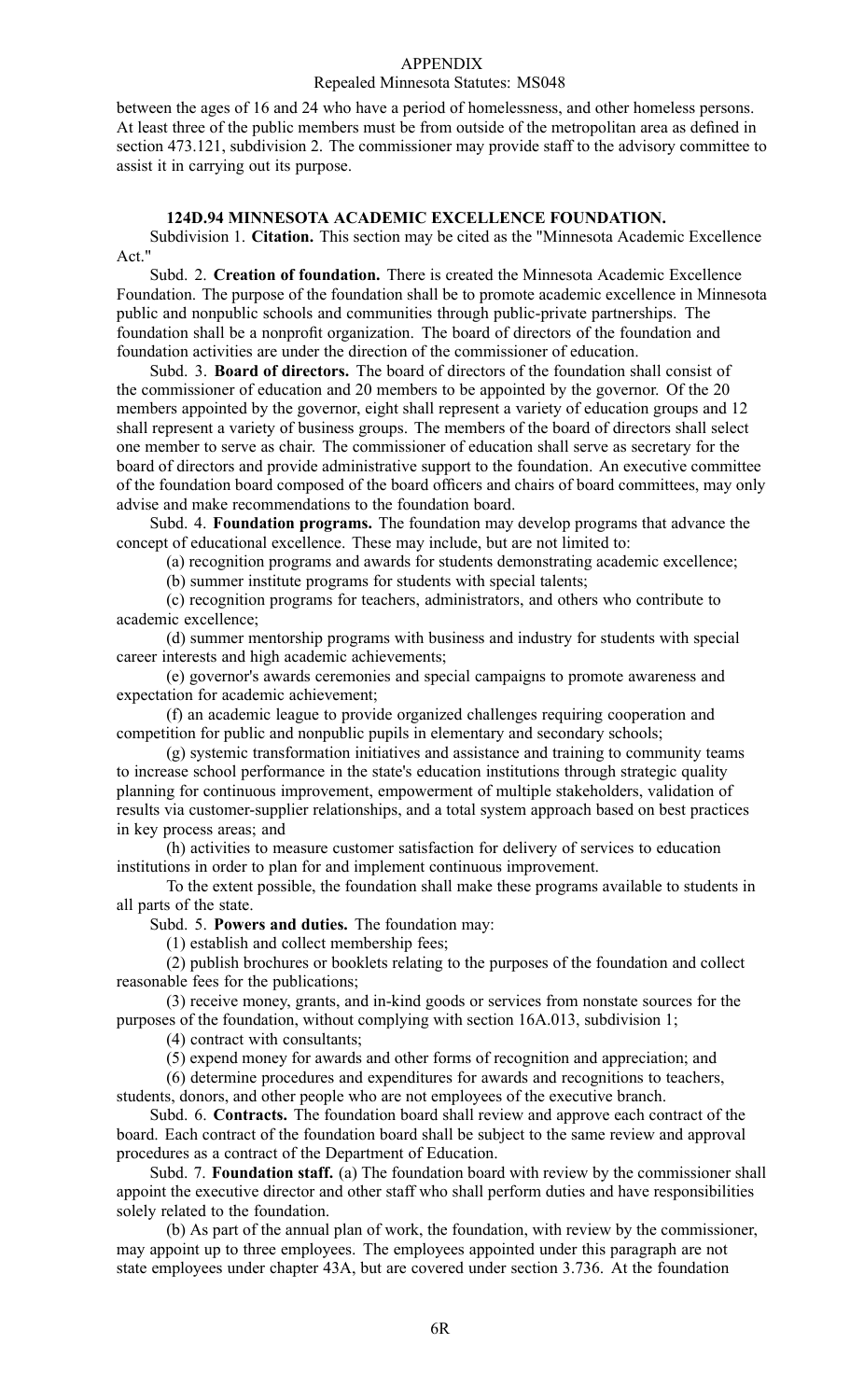#### Repealed Minnesota Statutes: MS048

between the ages of 16 and 24 who have <sup>a</sup> period of homelessness, and other homeless persons. At least three of the public members must be from outside of the metropolitan area as defined in section 473.121, subdivision 2. The commissioner may provide staff to the advisory committee to assist it in carrying out its purpose.

#### **124D.94 MINNESOTA ACADEMIC EXCELLENCE FOUNDATION.**

Subdivision 1. **Citation.** This section may be cited as the "Minnesota Academic Excellence Act."

Subd. 2. **Creation of foundation.** There is created the Minnesota Academic Excellence Foundation. The purpose of the foundation shall be to promote academic excellence in Minnesota public and nonpublic schools and communities through public-private partnerships. The foundation shall be <sup>a</sup> nonprofit organization. The board of directors of the foundation and foundation activities are under the direction of the commissioner of education.

Subd. 3. **Board of directors.** The board of directors of the foundation shall consist of the commissioner of education and 20 members to be appointed by the governor. Of the 20 members appointed by the governor, eight shall represen<sup>t</sup> <sup>a</sup> variety of education groups and 12 shall represen<sup>t</sup> <sup>a</sup> variety of business groups. The members of the board of directors shall select one member to serve as chair. The commissioner of education shall serve as secretary for the board of directors and provide administrative suppor<sup>t</sup> to the foundation. An executive committee of the foundation board composed of the board officers and chairs of board committees, may only advise and make recommendations to the foundation board.

Subd. 4. **Foundation programs.** The foundation may develop programs that advance the concep<sup>t</sup> of educational excellence. These may include, but are not limited to:

(a) recognition programs and awards for students demonstrating academic excellence;

(b) summer institute programs for students with special talents;

(c) recognition programs for teachers, administrators, and others who contribute to academic excellence;

(d) summer mentorship programs with business and industry for students with special career interests and high academic achievements;

(e) governor's awards ceremonies and special campaigns to promote awareness and expectation for academic achievement;

(f) an academic league to provide organized challenges requiring cooperation and competition for public and nonpublic pupils in elementary and secondary schools;

(g) systemic transformation initiatives and assistance and training to community teams to increase school performance in the state's education institutions through strategic quality planning for continuous improvement, empowermen<sup>t</sup> of multiple stakeholders, validation of results via customer-supplier relationships, and <sup>a</sup> total system approach based on best practices in key process areas; and

(h) activities to measure customer satisfaction for delivery of services to education institutions in order to plan for and implement continuous improvement.

To the extent possible, the foundation shall make these programs available to students in all parts of the state.

Subd. 5. **Powers and duties.** The foundation may:

(1) establish and collect membership fees;

(2) publish brochures or booklets relating to the purposes of the foundation and collect reasonable fees for the publications;

(3) receive money, grants, and in-kind goods or services from nonstate sources for the purposes of the foundation, without complying with section 16A.013, subdivision 1;

(4) contract with consultants;

(5) expend money for awards and other forms of recognition and appreciation; and

(6) determine procedures and expenditures for awards and recognitions to teachers, students, donors, and other people who are not employees of the executive branch.

Subd. 6. **Contracts.** The foundation board shall review and approve each contract of the board. Each contract of the foundation board shall be subject to the same review and approval procedures as <sup>a</sup> contract of the Department of Education.

Subd. 7. **Foundation staff.** (a) The foundation board with review by the commissioner shall appoint the executive director and other staff who shall perform duties and have responsibilities solely related to the foundation.

(b) As par<sup>t</sup> of the annual plan of work, the foundation, with review by the commissioner, may appoint up to three employees. The employees appointed under this paragraph are not state employees under chapter 43A, but are covered under section 3.736. At the foundation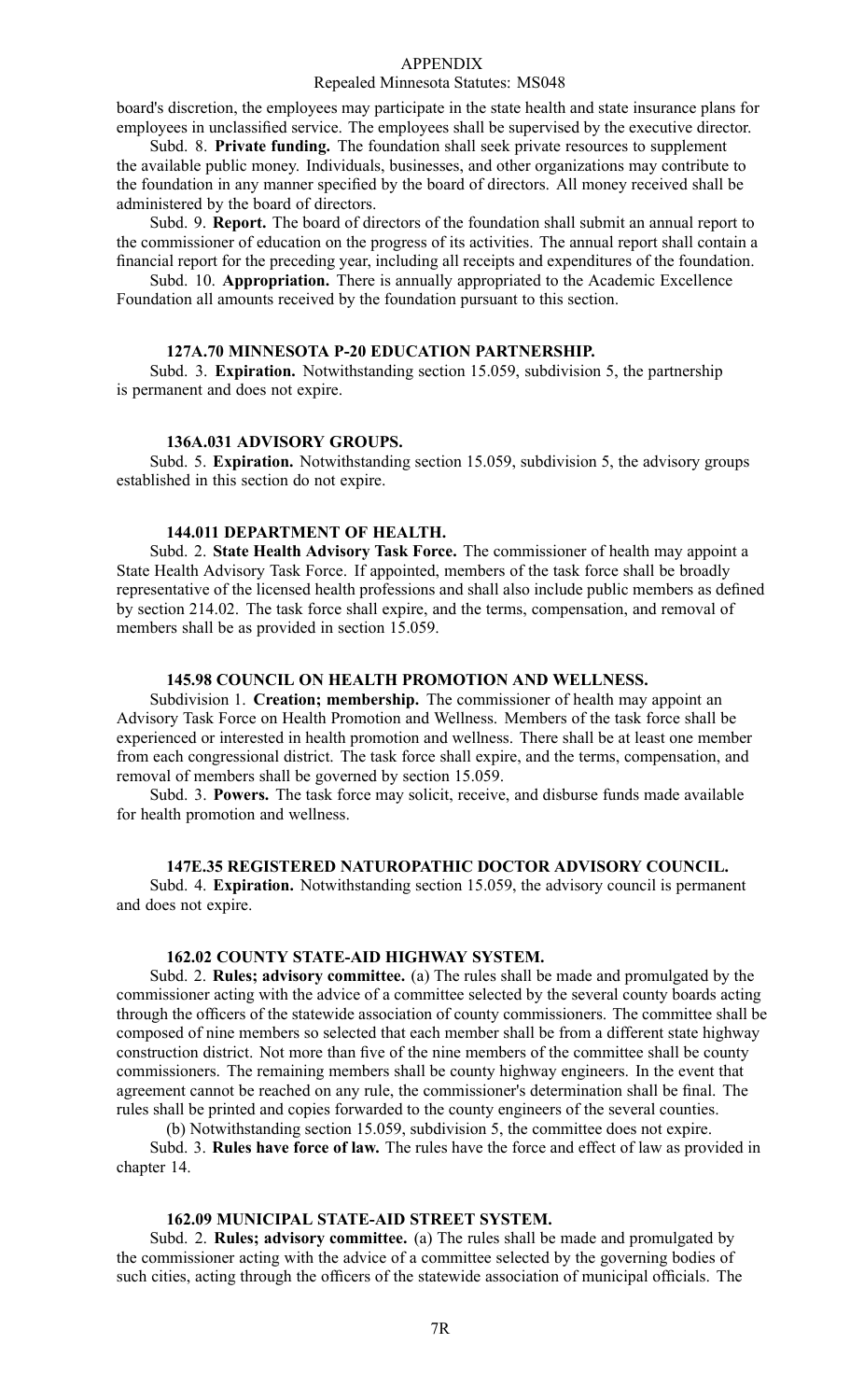#### Repealed Minnesota Statutes: MS048

board's discretion, the employees may participate in the state health and state insurance plans for employees in unclassified service. The employees shall be supervised by the executive director.

Subd. 8. **Private funding.** The foundation shall seek private resources to supplement the available public money. Individuals, businesses, and other organizations may contribute to the foundation in any manner specified by the board of directors. All money received shall be administered by the board of directors.

Subd. 9. **Report.** The board of directors of the foundation shall submit an annual repor<sup>t</sup> to the commissioner of education on the progress of its activities. The annual repor<sup>t</sup> shall contain <sup>a</sup> financial repor<sup>t</sup> for the preceding year, including all receipts and expenditures of the foundation.

Subd. 10. **Appropriation.** There is annually appropriated to the Academic Excellence Foundation all amounts received by the foundation pursuan<sup>t</sup> to this section.

#### **127A.70 MINNESOTA P-20 EDUCATION PARTNERSHIP.**

Subd. 3. **Expiration.** Notwithstanding section 15.059, subdivision 5, the partnership is permanen<sup>t</sup> and does not expire.

#### **136A.031 ADVISORY GROUPS.**

Subd. 5. **Expiration.** Notwithstanding section 15.059, subdivision 5, the advisory groups established in this section do not expire.

#### **144.011 DEPARTMENT OF HEALTH.**

Subd. 2. **State Health Advisory Task Force.** The commissioner of health may appoint <sup>a</sup> State Health Advisory Task Force. If appointed, members of the task force shall be broadly representative of the licensed health professions and shall also include public members as defined by section 214.02. The task force shall expire, and the terms, compensation, and removal of members shall be as provided in section 15.059.

#### **145.98 COUNCIL ON HEALTH PROMOTION AND WELLNESS.**

Subdivision 1. **Creation; membership.** The commissioner of health may appoint an Advisory Task Force on Health Promotion and Wellness. Members of the task force shall be experienced or interested in health promotion and wellness. There shall be at least one member from each congressional district. The task force shall expire, and the terms, compensation, and removal of members shall be governed by section 15.059.

Subd. 3. **Powers.** The task force may solicit, receive, and disburse funds made available for health promotion and wellness.

## **147E.35 REGISTERED NATUROPATHIC DOCTOR ADVISORY COUNCIL.**

Subd. 4. **Expiration.** Notwithstanding section 15.059, the advisory council is permanen<sup>t</sup> and does not expire.

### **162.02 COUNTY STATE-AID HIGHWAY SYSTEM.**

Subd. 2. **Rules; advisory committee.** (a) The rules shall be made and promulgated by the commissioner acting with the advice of <sup>a</sup> committee selected by the several county boards acting through the officers of the statewide association of county commissioners. The committee shall be composed of nine members so selected that each member shall be from <sup>a</sup> different state highway construction district. Not more than five of the nine members of the committee shall be county commissioners. The remaining members shall be county highway engineers. In the event that agreemen<sup>t</sup> cannot be reached on any rule, the commissioner's determination shall be final. The rules shall be printed and copies forwarded to the county engineers of the several counties.

(b) Notwithstanding section 15.059, subdivision 5, the committee does not expire.

Subd. 3. **Rules have force of law.** The rules have the force and effect of law as provided in chapter 14.

## **162.09 MUNICIPAL STATE-AID STREET SYSTEM.**

Subd. 2. **Rules; advisory committee.** (a) The rules shall be made and promulgated by the commissioner acting with the advice of <sup>a</sup> committee selected by the governing bodies of such cities, acting through the officers of the statewide association of municipal officials. The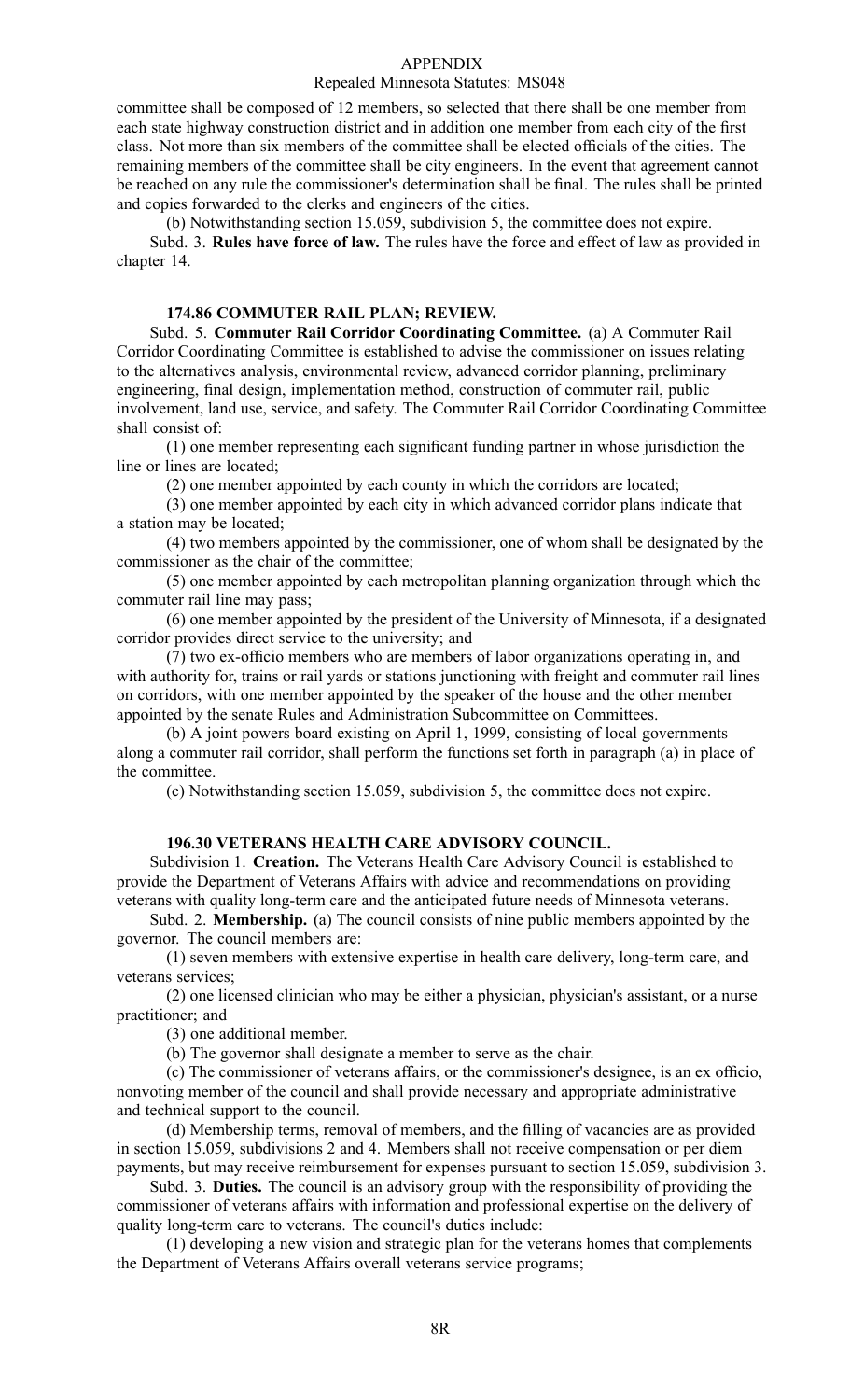#### Repealed Minnesota Statutes: MS048

committee shall be composed of 12 members, so selected that there shall be one member from each state highway construction district and in addition one member from each city of the first class. Not more than six members of the committee shall be elected officials of the cities. The remaining members of the committee shall be city engineers. In the event that agreemen<sup>t</sup> cannot be reached on any rule the commissioner's determination shall be final. The rules shall be printed and copies forwarded to the clerks and engineers of the cities.

(b) Notwithstanding section 15.059, subdivision 5, the committee does not expire.

Subd. 3. **Rules have force of law.** The rules have the force and effect of law as provided in chapter 14.

## **174.86 COMMUTER RAIL PLAN; REVIEW.**

Subd. 5. **Commuter Rail Corridor Coordinating Committee.** (a) A Commuter Rail Corridor Coordinating Committee is established to advise the commissioner on issues relating to the alternatives analysis, environmental review, advanced corridor planning, preliminary engineering, final design, implementation method, construction of commuter rail, public involvement, land use, service, and safety. The Commuter Rail Corridor Coordinating Committee shall consist of:

(1) one member representing each significant funding partner in whose jurisdiction the line or lines are located;

(2) one member appointed by each county in which the corridors are located;

(3) one member appointed by each city in which advanced corridor plans indicate that <sup>a</sup> station may be located;

(4) two members appointed by the commissioner, one of whom shall be designated by the commissioner as the chair of the committee;

(5) one member appointed by each metropolitan planning organization through which the commuter rail line may pass;

(6) one member appointed by the president of the University of Minnesota, if <sup>a</sup> designated corridor provides direct service to the university; and

(7) two ex-officio members who are members of labor organizations operating in, and with authority for, trains or rail yards or stations junctioning with freight and commuter rail lines on corridors, with one member appointed by the speaker of the house and the other member appointed by the senate Rules and Administration Subcommittee on Committees.

(b) A joint powers board existing on April 1, 1999, consisting of local governments along <sup>a</sup> commuter rail corridor, shall perform the functions set forth in paragraph (a) in place of the committee.

(c) Notwithstanding section 15.059, subdivision 5, the committee does not expire.

### **196.30 VETERANS HEALTH CARE ADVISORY COUNCIL.**

Subdivision 1. **Creation.** The Veterans Health Care Advisory Council is established to provide the Department of Veterans Affairs with advice and recommendations on providing veterans with quality long-term care and the anticipated future needs of Minnesota veterans.

Subd. 2. **Membership.** (a) The council consists of nine public members appointed by the governor. The council members are:

(1) seven members with extensive expertise in health care delivery, long-term care, and veterans services;

(2) one licensed clinician who may be either <sup>a</sup> physician, physician's assistant, or <sup>a</sup> nurse practitioner; and

(3) one additional member.

(b) The governor shall designate <sup>a</sup> member to serve as the chair.

(c) The commissioner of veterans affairs, or the commissioner's designee, is an ex officio, nonvoting member of the council and shall provide necessary and appropriate administrative and technical suppor<sup>t</sup> to the council.

(d) Membership terms, removal of members, and the filling of vacancies are as provided in section 15.059, subdivisions 2 and 4. Members shall not receive compensation or per diem payments, but may receive reimbursement for expenses pursuan<sup>t</sup> to section 15.059, subdivision 3.

Subd. 3. **Duties.** The council is an advisory group with the responsibility of providing the commissioner of veterans affairs with information and professional expertise on the delivery of quality long-term care to veterans. The council's duties include:

(1) developing <sup>a</sup> new vision and strategic plan for the veterans homes that complements the Department of Veterans Affairs overall veterans service programs;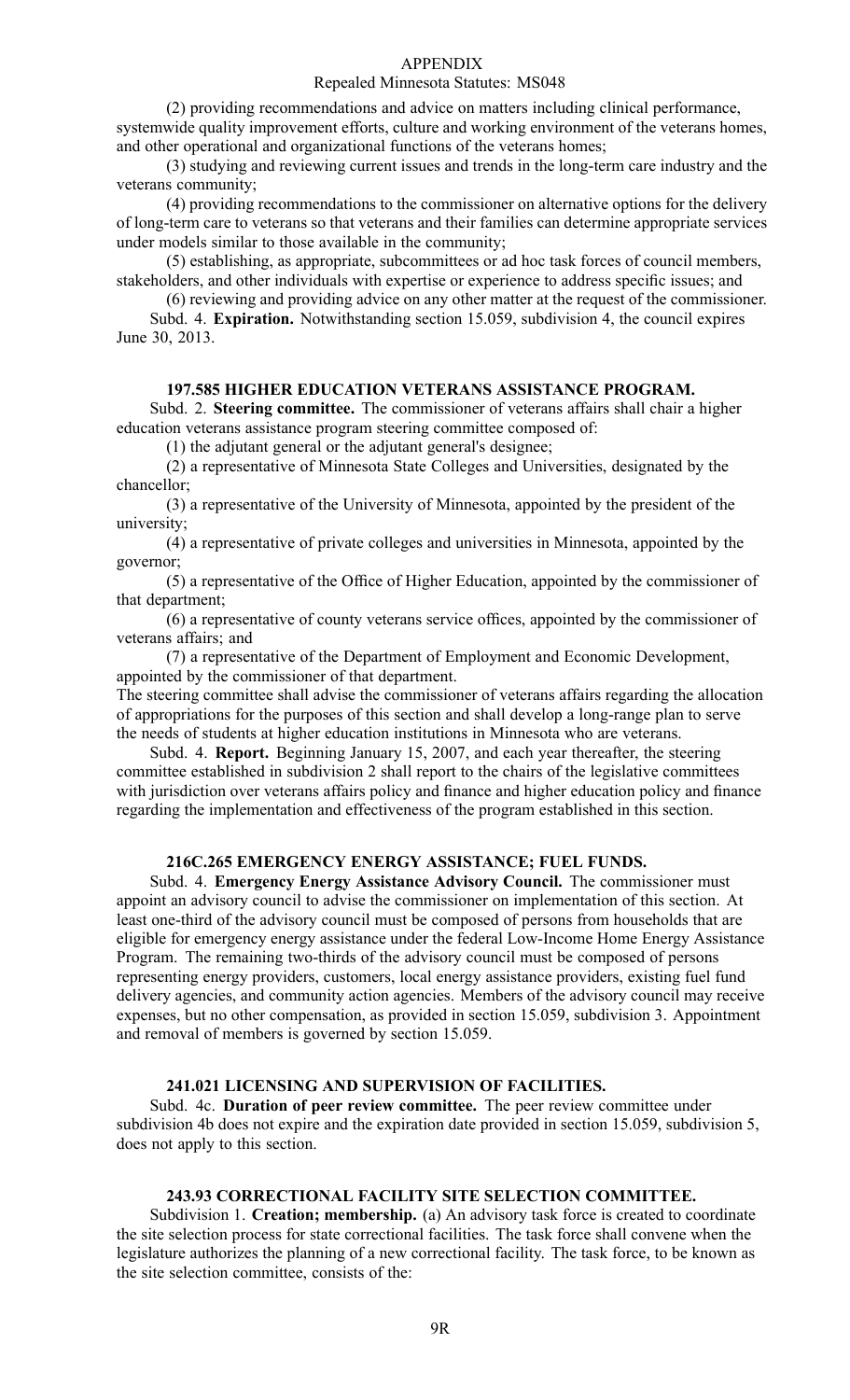#### Repealed Minnesota Statutes: MS048

(2) providing recommendations and advice on matters including clinical performance, systemwide quality improvement efforts, culture and working environment of the veterans homes, and other operational and organizational functions of the veterans homes;

(3) studying and reviewing current issues and trends in the long-term care industry and the veterans community;

(4) providing recommendations to the commissioner on alternative options for the delivery of long-term care to veterans so that veterans and their families can determine appropriate services under models similar to those available in the community;

(5) establishing, as appropriate, subcommittees or ad hoc task forces of council members, stakeholders, and other individuals with expertise or experience to address specific issues; and

(6) reviewing and providing advice on any other matter at the reques<sup>t</sup> of the commissioner. Subd. 4. **Expiration.** Notwithstanding section 15.059, subdivision 4, the council expires June 30, 2013.

### **197.585 HIGHER EDUCATION VETERANS ASSISTANCE PROGRAM.**

Subd. 2. **Steering committee.** The commissioner of veterans affairs shall chair <sup>a</sup> higher education veterans assistance program steering committee composed of:

(1) the adjutant general or the adjutant general's designee;

(2) <sup>a</sup> representative of Minnesota State Colleges and Universities, designated by the chancellor;

(3) <sup>a</sup> representative of the University of Minnesota, appointed by the president of the university;

(4) <sup>a</sup> representative of private colleges and universities in Minnesota, appointed by the governor;

(5) <sup>a</sup> representative of the Office of Higher Education, appointed by the commissioner of that department;

(6) <sup>a</sup> representative of county veterans service offices, appointed by the commissioner of veterans affairs; and

(7) <sup>a</sup> representative of the Department of Employment and Economic Development, appointed by the commissioner of that department.

The steering committee shall advise the commissioner of veterans affairs regarding the allocation of appropriations for the purposes of this section and shall develop <sup>a</sup> long-range plan to serve the needs of students at higher education institutions in Minnesota who are veterans.

Subd. 4. **Report.** Beginning January 15, 2007, and each year thereafter, the steering committee established in subdivision 2 shall repor<sup>t</sup> to the chairs of the legislative committees with jurisdiction over veterans affairs policy and finance and higher education policy and finance regarding the implementation and effectiveness of the program established in this section.

## **216C.265 EMERGENCY ENERGY ASSISTANCE; FUEL FUNDS.**

Subd. 4. **Emergency Energy Assistance Advisory Council.** The commissioner must appoint an advisory council to advise the commissioner on implementation of this section. At least one-third of the advisory council must be composed of persons from households that are eligible for emergency energy assistance under the federal Low-Income Home Energy Assistance Program. The remaining two-thirds of the advisory council must be composed of persons representing energy providers, customers, local energy assistance providers, existing fuel fund delivery agencies, and community action agencies. Members of the advisory council may receive expenses, but no other compensation, as provided in section 15.059, subdivision 3. Appointment and removal of members is governed by section 15.059.

### **241.021 LICENSING AND SUPERVISION OF FACILITIES.**

Subd. 4c. **Duration of peer review committee.** The peer review committee under subdivision 4b does not expire and the expiration date provided in section 15.059, subdivision 5, does not apply to this section.

#### **243.93 CORRECTIONAL FACILITY SITE SELECTION COMMITTEE.**

Subdivision 1. **Creation; membership.** (a) An advisory task force is created to coordinate the site selection process for state correctional facilities. The task force shall convene when the legislature authorizes the planning of <sup>a</sup> new correctional facility. The task force, to be known as the site selection committee, consists of the: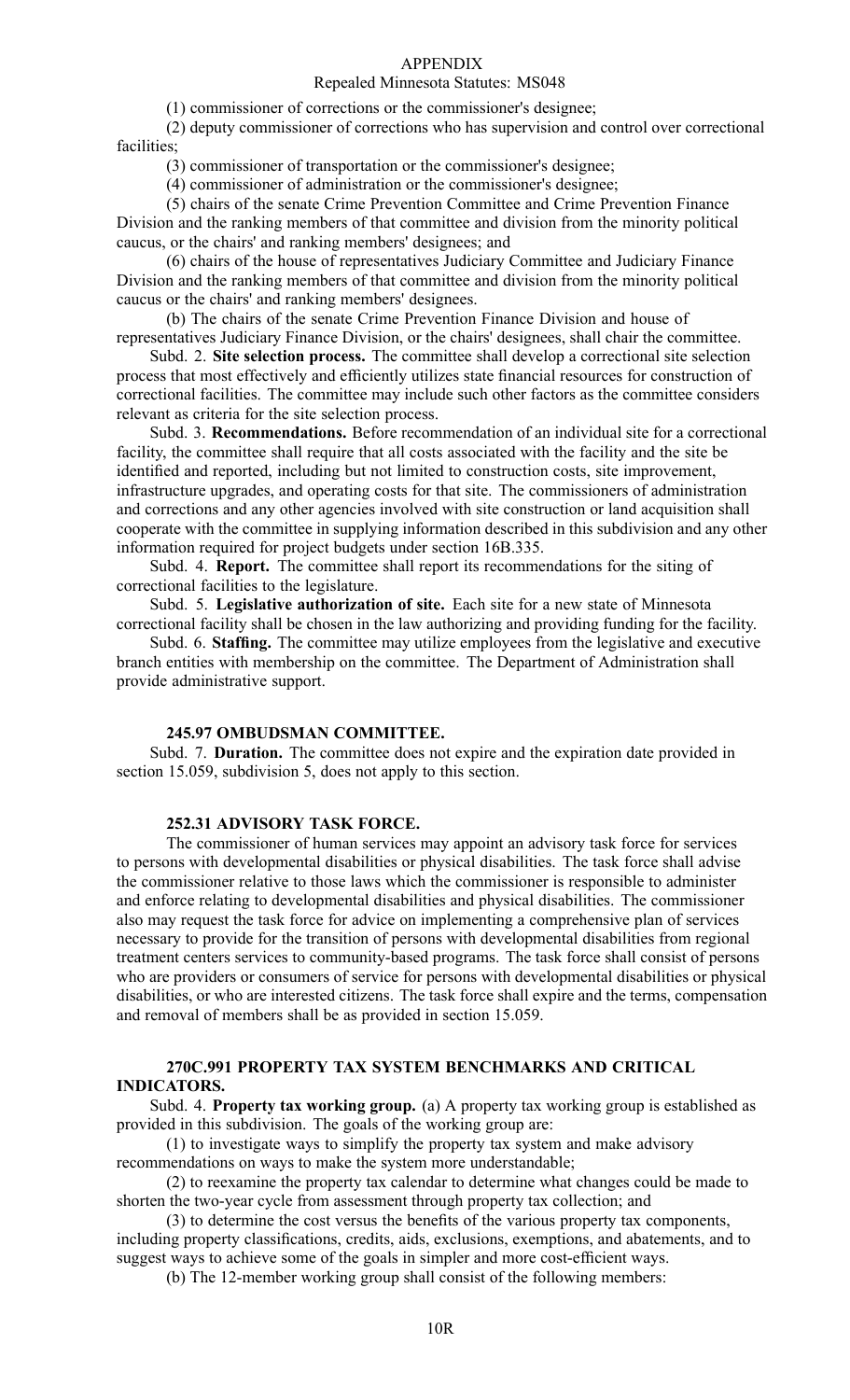## Repealed Minnesota Statutes: MS048

(1) commissioner of corrections or the commissioner's designee;

(2) deputy commissioner of corrections who has supervision and control over correctional facilities<sup>.</sup>

(3) commissioner of transportation or the commissioner's designee;

(4) commissioner of administration or the commissioner's designee;

(5) chairs of the senate Crime Prevention Committee and Crime Prevention Finance Division and the ranking members of that committee and division from the minority political caucus, or the chairs' and ranking members' designees; and

(6) chairs of the house of representatives Judiciary Committee and Judiciary Finance Division and the ranking members of that committee and division from the minority political caucus or the chairs' and ranking members' designees.

(b) The chairs of the senate Crime Prevention Finance Division and house of representatives Judiciary Finance Division, or the chairs' designees, shall chair the committee.

Subd. 2. **Site selection process.** The committee shall develop <sup>a</sup> correctional site selection process that most effectively and efficiently utilizes state financial resources for construction of correctional facilities. The committee may include such other factors as the committee considers relevant as criteria for the site selection process.

Subd. 3. **Recommendations.** Before recommendation of an individual site for <sup>a</sup> correctional facility, the committee shall require that all costs associated with the facility and the site be identified and reported, including but not limited to construction costs, site improvement, infrastructure upgrades, and operating costs for that site. The commissioners of administration and corrections and any other agencies involved with site construction or land acquisition shall cooperate with the committee in supplying information described in this subdivision and any other information required for project budgets under section 16B.335.

Subd. 4. **Report.** The committee shall repor<sup>t</sup> its recommendations for the siting of correctional facilities to the legislature.

Subd. 5. **Legislative authorization of site.** Each site for <sup>a</sup> new state of Minnesota correctional facility shall be chosen in the law authorizing and providing funding for the facility.

Subd. 6. **Staffing.** The committee may utilize employees from the legislative and executive branch entities with membership on the committee. The Department of Administration shall provide administrative support.

### **245.97 OMBUDSMAN COMMITTEE.**

Subd. 7. **Duration.** The committee does not expire and the expiration date provided in section 15.059, subdivision 5, does not apply to this section.

### **252.31 ADVISORY TASK FORCE.**

The commissioner of human services may appoint an advisory task force for services to persons with developmental disabilities or physical disabilities. The task force shall advise the commissioner relative to those laws which the commissioner is responsible to administer and enforce relating to developmental disabilities and physical disabilities. The commissioner also may reques<sup>t</sup> the task force for advice on implementing <sup>a</sup> comprehensive plan of services necessary to provide for the transition of persons with developmental disabilities from regional treatment centers services to community-based programs. The task force shall consist of persons who are providers or consumers of service for persons with developmental disabilities or physical disabilities, or who are interested citizens. The task force shall expire and the terms, compensation and removal of members shall be as provided in section 15.059.

## **270C.991 PROPERTY TAX SYSTEM BENCHMARKS AND CRITICAL INDICATORS.**

Subd. 4. **Property tax working group.** (a) A property tax working group is established as provided in this subdivision. The goals of the working group are:

(1) to investigate ways to simplify the property tax system and make advisory recommendations on ways to make the system more understandable;

(2) to reexamine the property tax calendar to determine what changes could be made to shorten the two-year cycle from assessment through property tax collection; and

(3) to determine the cost versus the benefits of the various property tax components, including property classifications, credits, aids, exclusions, exemptions, and abatements, and to sugges<sup>t</sup> ways to achieve some of the goals in simpler and more cost-efficient ways.

(b) The 12-member working group shall consist of the following members: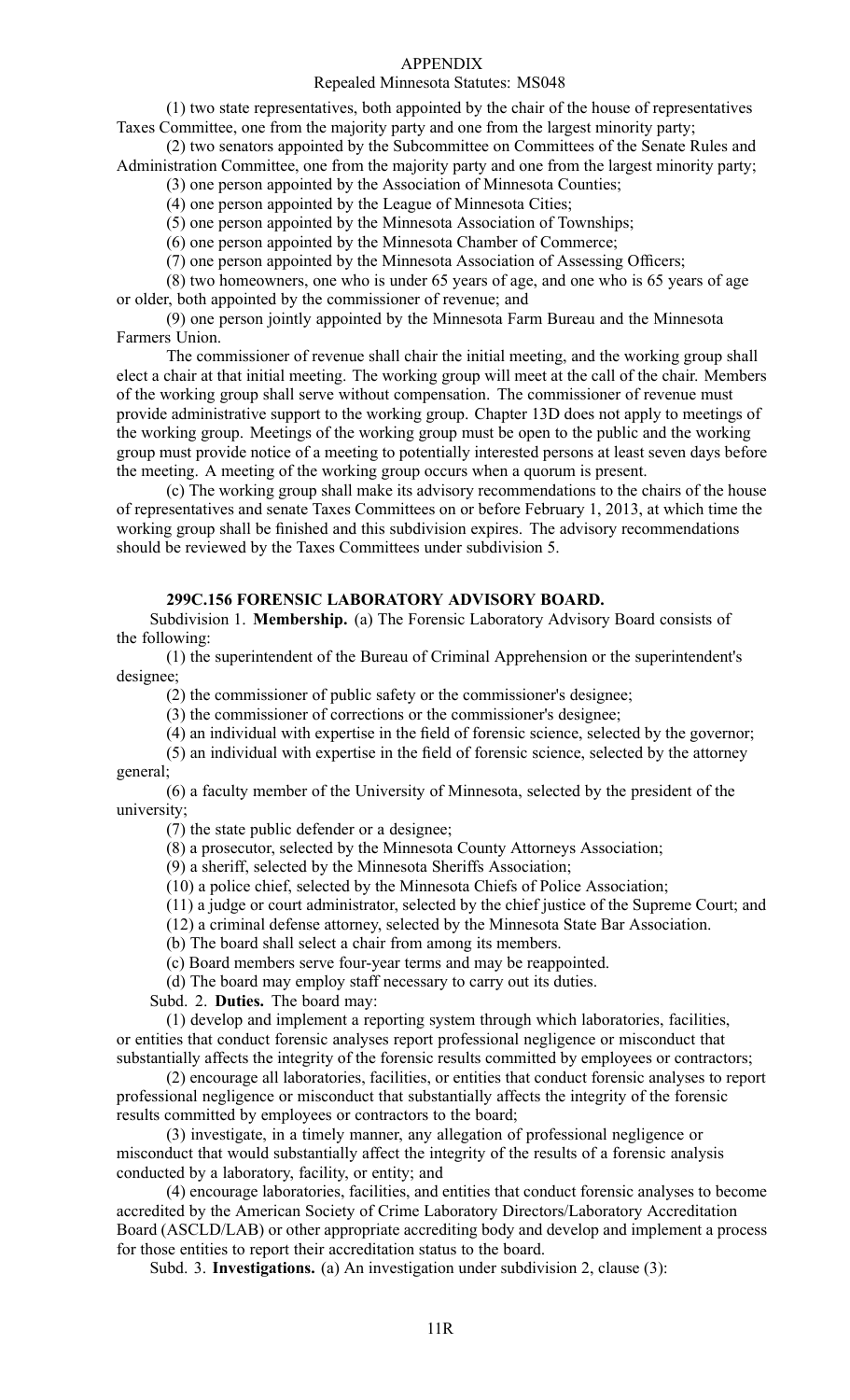## Repealed Minnesota Statutes: MS048

(1) two state representatives, both appointed by the chair of the house of representatives Taxes Committee, one from the majority party and one from the largest minority party;

(2) two senators appointed by the Subcommittee on Committees of the Senate Rules and Administration Committee, one from the majority party and one from the largest minority party;

(3) one person appointed by the Association of Minnesota Counties;

(4) one person appointed by the League of Minnesota Cities;

(5) one person appointed by the Minnesota Association of Townships;

(6) one person appointed by the Minnesota Chamber of Commerce;

(7) one person appointed by the Minnesota Association of Assessing Officers;

(8) two homeowners, one who is under 65 years of age, and one who is 65 years of age or older, both appointed by the commissioner of revenue; and

(9) one person jointly appointed by the Minnesota Farm Bureau and the Minnesota Farmers Union.

The commissioner of revenue shall chair the initial meeting, and the working group shall elect <sup>a</sup> chair at that initial meeting. The working group will meet at the call of the chair. Members of the working group shall serve without compensation. The commissioner of revenue must provide administrative suppor<sup>t</sup> to the working group. Chapter 13D does not apply to meetings of the working group. Meetings of the working group must be open to the public and the working group must provide notice of <sup>a</sup> meeting to potentially interested persons at least seven days before the meeting. A meeting of the working group occurs when <sup>a</sup> quorum is present.

(c) The working group shall make its advisory recommendations to the chairs of the house of representatives and senate Taxes Committees on or before February 1, 2013, at which time the working group shall be finished and this subdivision expires. The advisory recommendations should be reviewed by the Taxes Committees under subdivision 5.

### **299C.156 FORENSIC LABORATORY ADVISORY BOARD.**

Subdivision 1. **Membership.** (a) The Forensic Laboratory Advisory Board consists of the following:

(1) the superintendent of the Bureau of Criminal Apprehension or the superintendent's designee;

(2) the commissioner of public safety or the commissioner's designee;

(3) the commissioner of corrections or the commissioner's designee;

(4) an individual with expertise in the field of forensic science, selected by the governor;

(5) an individual with expertise in the field of forensic science, selected by the attorney general;

(6) <sup>a</sup> faculty member of the University of Minnesota, selected by the president of the university;

(7) the state public defender or <sup>a</sup> designee;

(8) <sup>a</sup> prosecutor, selected by the Minnesota County Attorneys Association;

(9) <sup>a</sup> sheriff, selected by the Minnesota Sheriffs Association;

(10) <sup>a</sup> police chief, selected by the Minnesota Chiefs of Police Association;

(11) <sup>a</sup> judge or court administrator, selected by the chief justice of the Supreme Court; and

(12) <sup>a</sup> criminal defense attorney, selected by the Minnesota State Bar Association.

(b) The board shall select <sup>a</sup> chair from among its members.

(c) Board members serve four-year terms and may be reappointed.

(d) The board may employ staff necessary to carry out its duties.

Subd. 2. **Duties.** The board may:

(1) develop and implement <sup>a</sup> reporting system through which laboratories, facilities, or entities that conduct forensic analyses repor<sup>t</sup> professional negligence or misconduct that substantially affects the integrity of the forensic results committed by employees or contractors;

(2) encourage all laboratories, facilities, or entities that conduct forensic analyses to repor<sup>t</sup> professional negligence or misconduct that substantially affects the integrity of the forensic results committed by employees or contractors to the board;

(3) investigate, in <sup>a</sup> timely manner, any allegation of professional negligence or misconduct that would substantially affect the integrity of the results of <sup>a</sup> forensic analysis conducted by <sup>a</sup> laboratory, facility, or entity; and

(4) encourage laboratories, facilities, and entities that conduct forensic analyses to become accredited by the American Society of Crime Laboratory Directors/Laboratory Accreditation Board (ASCLD/LAB) or other appropriate accrediting body and develop and implement <sup>a</sup> process for those entities to repor<sup>t</sup> their accreditation status to the board.

Subd. 3. **Investigations.** (a) An investigation under subdivision 2, clause (3):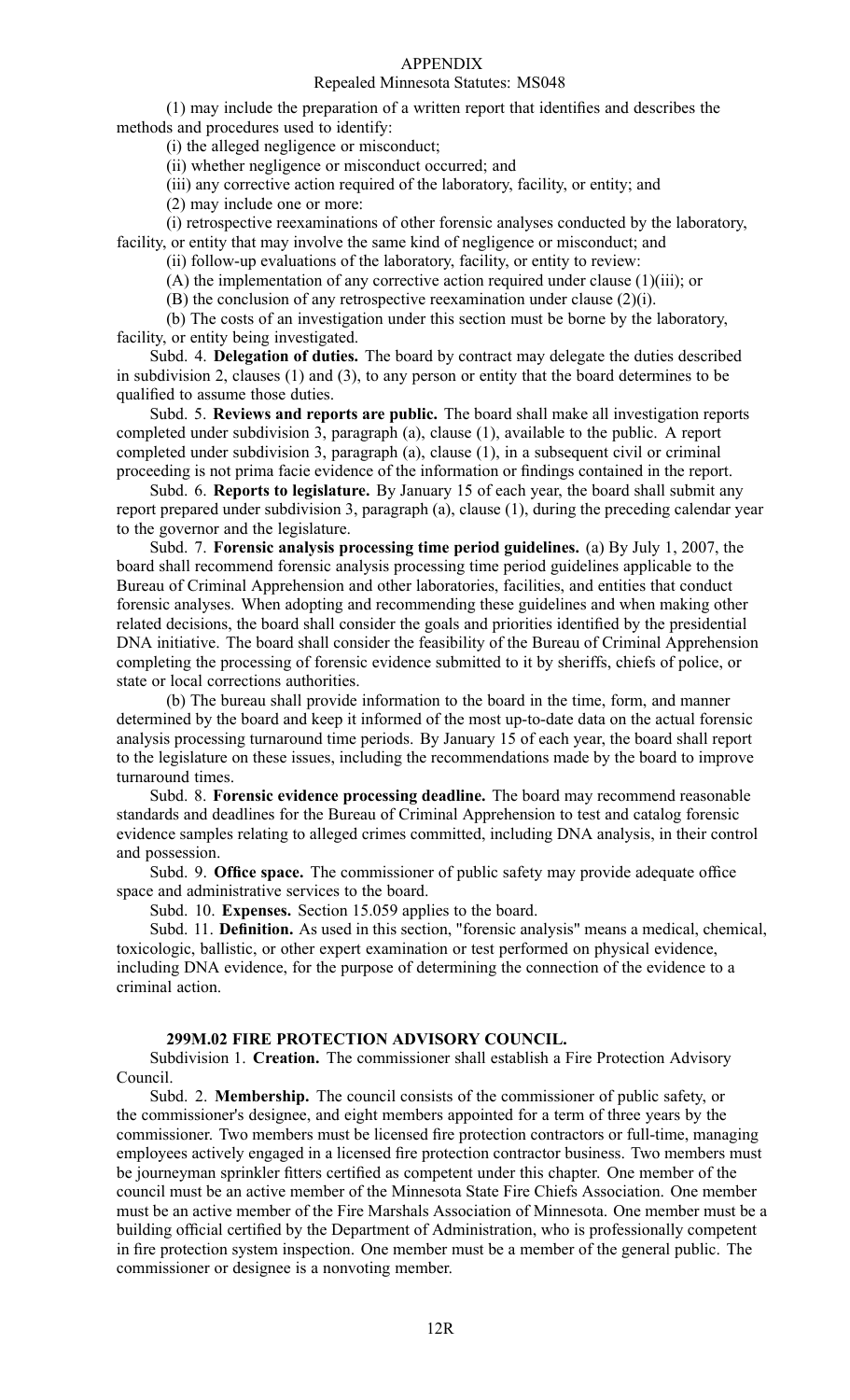### Repealed Minnesota Statutes: MS048

(1) may include the preparation of <sup>a</sup> written repor<sup>t</sup> that identifies and describes the methods and procedures used to identify:

(i) the alleged negligence or misconduct;

(ii) whether negligence or misconduct occurred; and

(iii) any corrective action required of the laboratory, facility, or entity; and

(2) may include one or more:

(i) retrospective reexaminations of other forensic analyses conducted by the laboratory,

facility, or entity that may involve the same kind of negligence or misconduct; and

(ii) follow-up evaluations of the laboratory, facility, or entity to review:

(A) the implementation of any corrective action required under clause (1)(iii); or

(B) the conclusion of any retrospective reexamination under clause (2)(i).

(b) The costs of an investigation under this section must be borne by the laboratory, facility, or entity being investigated.

Subd. 4. **Delegation of duties.** The board by contract may delegate the duties described in subdivision 2, clauses (1) and (3), to any person or entity that the board determines to be qualified to assume those duties.

Subd. 5. **Reviews and reports are public.** The board shall make all investigation reports completed under subdivision 3, paragraph (a), clause (1), available to the public. A repor<sup>t</sup> completed under subdivision 3, paragraph (a), clause (1), in <sup>a</sup> subsequent civil or criminal proceeding is not prima facie evidence of the information or findings contained in the report.

Subd. 6. **Reports to legislature.** By January 15 of each year, the board shall submit any repor<sup>t</sup> prepared under subdivision 3, paragraph (a), clause (1), during the preceding calendar year to the governor and the legislature.

Subd. 7. **Forensic analysis processing time period guidelines.** (a) By July 1, 2007, the board shall recommend forensic analysis processing time period guidelines applicable to the Bureau of Criminal Apprehension and other laboratories, facilities, and entities that conduct forensic analyses. When adopting and recommending these guidelines and when making other related decisions, the board shall consider the goals and priorities identified by the presidential DNA initiative. The board shall consider the feasibility of the Bureau of Criminal Apprehension completing the processing of forensic evidence submitted to it by sheriffs, chiefs of police, or state or local corrections authorities.

(b) The bureau shall provide information to the board in the time, form, and manner determined by the board and keep it informed of the most up-to-date data on the actual forensic analysis processing turnaround time periods. By January 15 of each year, the board shall repor<sup>t</sup> to the legislature on these issues, including the recommendations made by the board to improve turnaround times.

Subd. 8. **Forensic evidence processing deadline.** The board may recommend reasonable standards and deadlines for the Bureau of Criminal Apprehension to test and catalog forensic evidence samples relating to alleged crimes committed, including DNA analysis, in their control and possession.

Subd. 9. **Office space.** The commissioner of public safety may provide adequate office space and administrative services to the board.

Subd. 10. **Expenses.** Section 15.059 applies to the board.

Subd. 11. **Definition.** As used in this section, "forensic analysis" means <sup>a</sup> medical, chemical, toxicologic, ballistic, or other exper<sup>t</sup> examination or test performed on physical evidence, including DNA evidence, for the purpose of determining the connection of the evidence to <sup>a</sup> criminal action.

#### **299M.02 FIRE PROTECTION ADVISORY COUNCIL.**

Subdivision 1. **Creation.** The commissioner shall establish <sup>a</sup> Fire Protection Advisory Council.

Subd. 2. **Membership.** The council consists of the commissioner of public safety, or the commissioner's designee, and eight members appointed for <sup>a</sup> term of three years by the commissioner. Two members must be licensed fire protection contractors or full-time, managing employees actively engaged in <sup>a</sup> licensed fire protection contractor business. Two members must be journeyman sprinkler fitters certified as competent under this chapter. One member of the council must be an active member of the Minnesota State Fire Chiefs Association. One member must be an active member of the Fire Marshals Association of Minnesota. One member must be <sup>a</sup> building official certified by the Department of Administration, who is professionally competent in fire protection system inspection. One member must be <sup>a</sup> member of the general public. The commissioner or designee is <sup>a</sup> nonvoting member.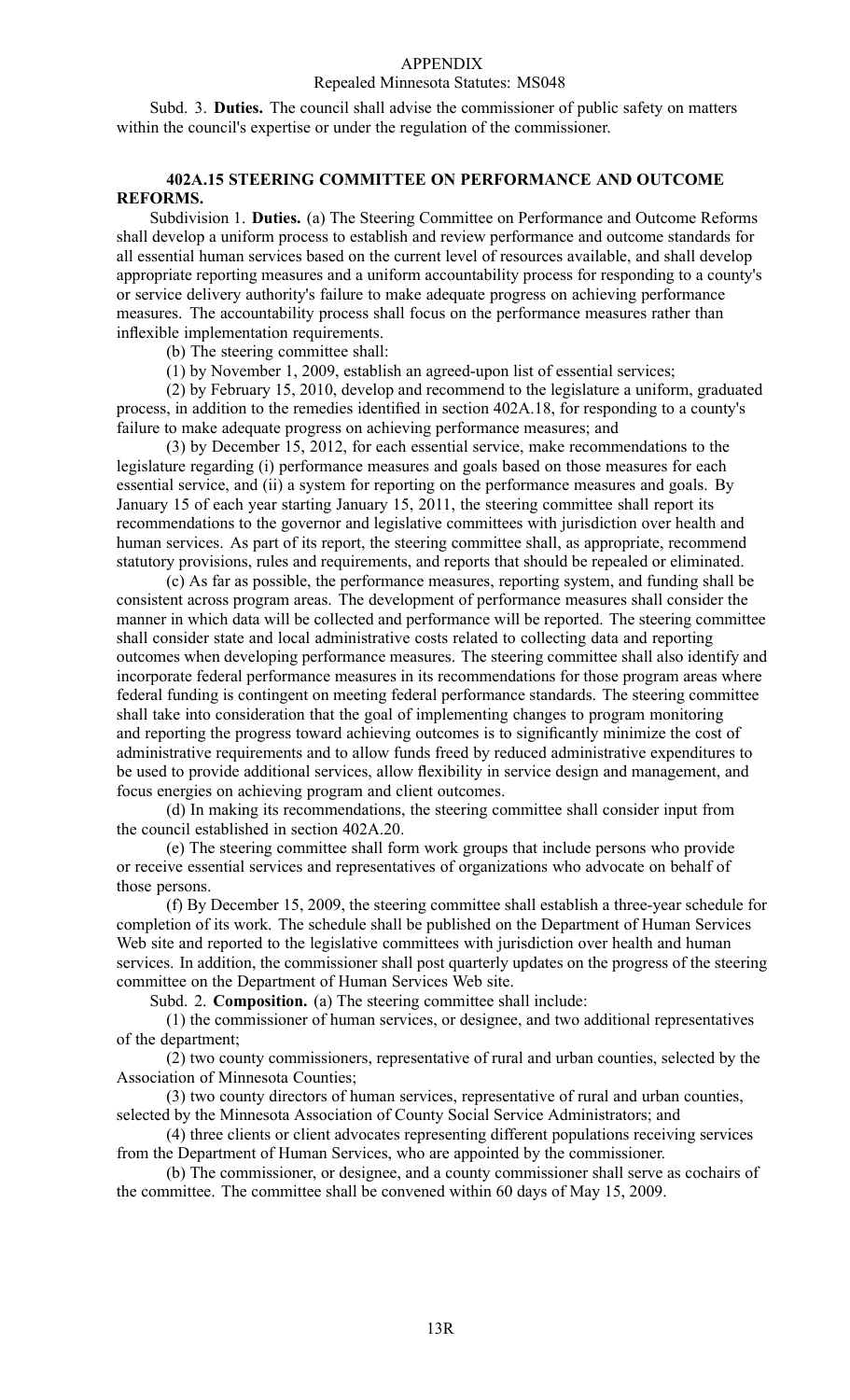#### Repealed Minnesota Statutes: MS048

Subd. 3. **Duties.** The council shall advise the commissioner of public safety on matters within the council's expertise or under the regulation of the commissioner.

## **402A.15 STEERING COMMITTEE ON PERFORMANCE AND OUTCOME REFORMS.**

Subdivision 1. **Duties.** (a) The Steering Committee on Performance and Outcome Reforms shall develop <sup>a</sup> uniform process to establish and review performance and outcome standards for all essential human services based on the current level of resources available, and shall develop appropriate reporting measures and <sup>a</sup> uniform accountability process for responding to <sup>a</sup> county's or service delivery authority's failure to make adequate progress on achieving performance measures. The accountability process shall focus on the performance measures rather than inflexible implementation requirements.

(b) The steering committee shall:

(1) by November 1, 2009, establish an agreed-upon list of essential services;

(2) by February 15, 2010, develop and recommend to the legislature <sup>a</sup> uniform, graduated process, in addition to the remedies identified in section 402A.18, for responding to <sup>a</sup> county's failure to make adequate progress on achieving performance measures; and

(3) by December 15, 2012, for each essential service, make recommendations to the legislature regarding (i) performance measures and goals based on those measures for each essential service, and (ii) <sup>a</sup> system for reporting on the performance measures and goals. By January 15 of each year starting January 15, 2011, the steering committee shall repor<sup>t</sup> its recommendations to the governor and legislative committees with jurisdiction over health and human services. As part of its report, the steering committee shall, as appropriate, recommend statutory provisions, rules and requirements, and reports that should be repealed or eliminated.

(c) As far as possible, the performance measures, reporting system, and funding shall be consistent across program areas. The development of performance measures shall consider the manner in which data will be collected and performance will be reported. The steering committee shall consider state and local administrative costs related to collecting data and reporting outcomes when developing performance measures. The steering committee shall also identify and incorporate federal performance measures in its recommendations for those program areas where federal funding is contingent on meeting federal performance standards. The steering committee shall take into consideration that the goal of implementing changes to program monitoring and reporting the progress toward achieving outcomes is to significantly minimize the cost of administrative requirements and to allow funds freed by reduced administrative expenditures to be used to provide additional services, allow flexibility in service design and management, and focus energies on achieving program and client outcomes.

(d) In making its recommendations, the steering committee shall consider input from the council established in section 402A.20.

(e) The steering committee shall form work groups that include persons who provide or receive essential services and representatives of organizations who advocate on behalf of those persons.

(f) By December 15, 2009, the steering committee shall establish <sup>a</sup> three-year schedule for completion of its work. The schedule shall be published on the Department of Human Services Web site and reported to the legislative committees with jurisdiction over health and human services. In addition, the commissioner shall pos<sup>t</sup> quarterly updates on the progress of the steering committee on the Department of Human Services Web site.

Subd. 2. **Composition.** (a) The steering committee shall include:

(1) the commissioner of human services, or designee, and two additional representatives of the department;

(2) two county commissioners, representative of rural and urban counties, selected by the Association of Minnesota Counties;

(3) two county directors of human services, representative of rural and urban counties, selected by the Minnesota Association of County Social Service Administrators; and

(4) three clients or client advocates representing different populations receiving services from the Department of Human Services, who are appointed by the commissioner.

(b) The commissioner, or designee, and <sup>a</sup> county commissioner shall serve as cochairs of the committee. The committee shall be convened within 60 days of May 15, 2009.